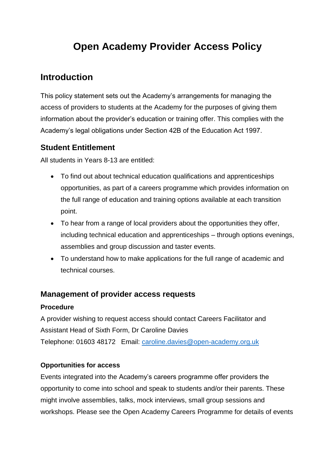# **Open Academy Provider Access Policy**

## **Introduction**

This policy statement sets out the Academy's arrangements for managing the access of providers to students at the Academy for the purposes of giving them information about the provider's education or training offer. This complies with the Academy's legal obligations under Section 42B of the Education Act 1997.

### **Student Entitlement**

All students in Years 8-13 are entitled:

- To find out about technical education qualifications and apprenticeships opportunities, as part of a careers programme which provides information on the full range of education and training options available at each transition point.
- To hear from a range of local providers about the opportunities they offer, including technical education and apprenticeships – through options evenings, assemblies and group discussion and taster events.
- To understand how to make applications for the full range of academic and technical courses.

#### **Management of provider access requests**

#### **Procedure**

A provider wishing to request access should contact Careers Facilitator and Assistant Head of Sixth Form, Dr Caroline Davies Telephone: 01603 48172 Email: [caroline.davies@open-academy.org.uk](mailto:caroline.davies@open-academy.org.uk)

#### **Opportunities for access**

Events integrated into the Academy's careers programme offer providers the opportunity to come into school and speak to students and/or their parents. These might involve assemblies, talks, mock interviews, small group sessions and workshops. Please see the Open Academy Careers Programme for details of events